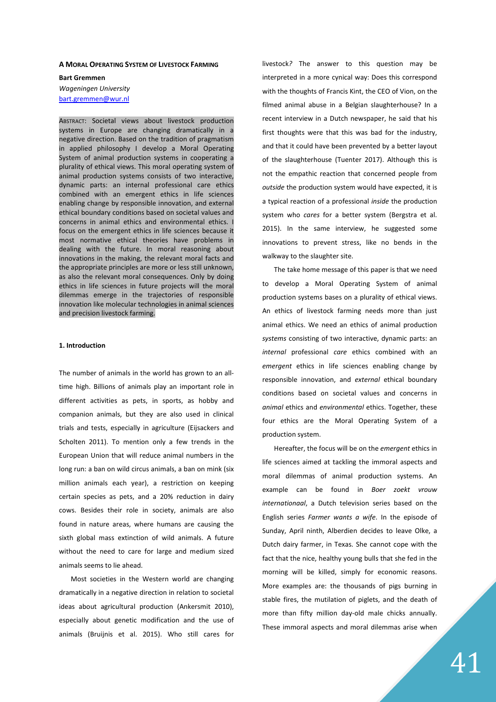#### **A MORAL OPERATING SYSTEM OF LIVESTOCK FARMING**

**Bart Gremmen**  *Wageningen University* bart.gremmen@wur.nl

ABSTRACT: Societal views about livestock production systems in Europe are changing dramatically in a negative direction. Based on the tradition of pragmatism in applied philosophy I develop a Moral Operating System of animal production systems in cooperating a plurality of ethical views. This moral operating system of animal production systems consists of two interactive, dynamic parts: an internal professional care ethics combined with an emergent ethics in life sciences enabling change by responsible innovation, and external ethical boundary conditions based on societal values and concerns in animal ethics and environmental ethics. I focus on the emergent ethics in life sciences because it most normative ethical theories have problems in dealing with the future. In moral reasoning about innovations in the making, the relevant moral facts and the appropriate principles are more or less still unknown, as also the relevant moral consequences. Only by doing ethics in life sciences in future projects will the moral dilemmas emerge in the trajectories of responsible innovation like molecular technologies in animal sciences and precision livestock farming.

#### **1. Introduction**

The number of animals in the world has grown to an alltime high. Billions of animals play an important role in different activities as pets, in sports, as hobby and companion animals, but they are also used in clinical trials and tests, especially in agriculture (Eijsackers and Scholten 2011). To mention only a few trends in the European Union that will reduce animal numbers in the long run: a ban on wild circus animals, a ban on mink (six million animals each year), a restriction on keeping certain species as pets, and a 20% reduction in dairy cows. Besides their role in society, animals are also found in nature areas, where humans are causing the sixth global mass extinction of wild animals. A future without the need to care for large and medium sized animals seems to lie ahead.

Most societies in the Western world are changing dramatically in a negative direction in relation to societal ideas about agricultural production (Ankersmit 2010), especially about genetic modification and the use of animals (Bruijnis et al. 2015). Who still cares for livestock*?* The answer to this question may be interpreted in a more cynical way: Does this correspond with the thoughts of Francis Kint, the CEO of Vion, on the filmed animal abuse in a Belgian slaughterhouse? In a recent interview in a Dutch newspaper, he said that his first thoughts were that this was bad for the industry, and that it could have been prevented by a better layout of the slaughterhouse (Tuenter 2017). Although this is not the empathic reaction that concerned people from *outside* the production system would have expected, it is a typical reaction of a professional *inside* the production system who *cares* for a better system (Bergstra et al. 2015). In the same interview, he suggested some innovations to prevent stress, like no bends in the walkway to the slaughter site.

The take home message of this paper is that we need to develop a Moral Operating System of animal production systems bases on a plurality of ethical views. An ethics of livestock farming needs more than just animal ethics. We need an ethics of animal production *systems* consisting of two interactive, dynamic parts: an *internal* professional *care* ethics combined with an *emergent* ethics in life sciences enabling change by responsible innovation, and *external* ethical boundary conditions based on societal values and concerns in *animal* ethics and *environmental* ethics. Together, these four ethics are the Moral Operating System of a production system.

Hereafter, the focus will be on the *emergent* ethics in life sciences aimed at tackling the immoral aspects and moral dilemmas of animal production systems. An example can be found in *Boer zoekt vrouw internationaal*, a Dutch television series based on the English series *Farmer wants a wife*. In the episode of Sunday, April ninth, Alberdien decides to leave Olke, a Dutch dairy farmer, in Texas. She cannot cope with the fact that the nice, healthy young bulls that she fed in the morning will be killed, simply for economic reasons. More examples are: the thousands of pigs burning in stable fires, the mutilation of piglets, and the death of more than fifty million day-old male chicks annually. These immoral aspects and moral dilemmas arise when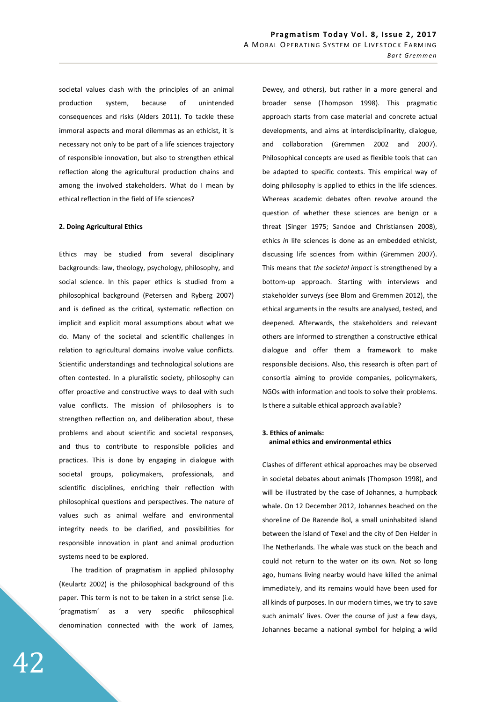societal values clash with the principles of an animal production system, because of unintended consequences and risks (Alders 2011). To tackle these immoral aspects and moral dilemmas as an ethicist, it is necessary not only to be part of a life sciences trajectory of responsible innovation, but also to strengthen ethical reflection along the agricultural production chains and among the involved stakeholders. What do I mean by ethical reflection in the field of life sciences?

### **2. Doing Agricultural Ethics**

Ethics may be studied from several disciplinary backgrounds: law, theology, psychology, philosophy, and social science. In this paper ethics is studied from a philosophical background (Petersen and Ryberg 2007) and is defined as the critical, systematic reflection on implicit and explicit moral assumptions about what we do. Many of the societal and scientific challenges in relation to agricultural domains involve value conflicts. Scientific understandings and technological solutions are often contested. In a pluralistic society, philosophy can offer proactive and constructive ways to deal with such value conflicts. The mission of philosophers is to strengthen reflection on, and deliberation about, these problems and about scientific and societal responses, and thus to contribute to responsible policies and practices. This is done by engaging in dialogue with societal groups, policymakers, professionals, and scientific disciplines, enriching their reflection with philosophical questions and perspectives. The nature of values such as animal welfare and environmental integrity needs to be clarified, and possibilities for responsible innovation in plant and animal production systems need to be explored.

The tradition of pragmatism in applied philosophy (Keulartz 2002) is the philosophical background of this paper. This term is not to be taken in a strict sense (i.e. 'pragmatism' as a very specific philosophical denomination connected with the work of James,

Dewey, and others), but rather in a more general and broader sense (Thompson 1998). This pragmatic approach starts from case material and concrete actual developments, and aims at interdisciplinarity, dialogue, and collaboration (Gremmen 2002 and 2007). Philosophical concepts are used as flexible tools that can be adapted to specific contexts. This empirical way of doing philosophy is applied to ethics in the life sciences. Whereas academic debates often revolve around the question of whether these sciences are benign or a threat (Singer 1975; Sandoe and Christiansen 2008), ethics *in* life sciences is done as an embedded ethicist, discussing life sciences from within (Gremmen 2007). This means that *the societal impact* is strengthened by a bottom-up approach. Starting with interviews and stakeholder surveys (see Blom and Gremmen 2012), the ethical arguments in the results are analysed, tested, and deepened. Afterwards, the stakeholders and relevant others are informed to strengthen a constructive ethical dialogue and offer them a framework to make responsible decisions. Also, this research is often part of consortia aiming to provide companies, policymakers, NGOs with information and tools to solve their problems. Is there a suitable ethical approach available?

## **3. Ethics of animals: animal ethics and environmental ethics**

Clashes of different ethical approaches may be observed in societal debates about animals (Thompson 1998), and will be illustrated by the case of Johannes, a humpback whale. On 12 December 2012, Johannes beached on the shoreline of De Razende Bol, a small uninhabited island between the island of Texel and the city of Den Helder in The Netherlands. The whale was stuck on the beach and could not return to the water on its own. Not so long ago, humans living nearby would have killed the animal immediately, and its remains would have been used for all kinds of purposes. In our modern times, we try to save such animals' lives. Over the course of just a few days, Johannes became a national symbol for helping a wild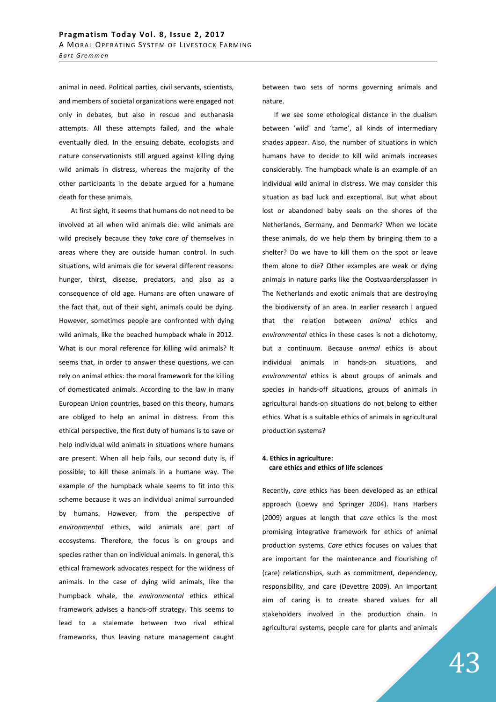animal in need. Political parties, civil servants, scientists, and members of societal organizations were engaged not only in debates, but also in rescue and euthanasia attempts. All these attempts failed, and the whale eventually died. In the ensuing debate, ecologists and nature conservationists still argued against killing dying wild animals in distress, whereas the majority of the other participants in the debate argued for a humane death for these animals.

At first sight, it seems that humans do not need to be involved at all when wild animals die: wild animals are wild precisely because they *take care of* themselves in areas where they are outside human control. In such situations, wild animals die for several different reasons: hunger, thirst, disease, predators, and also as a consequence of old age. Humans are often unaware of the fact that, out of their sight, animals could be dying. However, sometimes people are confronted with dying wild animals, like the beached humpback whale in 2012. What is our moral reference for killing wild animals? It seems that, in order to answer these questions, we can rely on animal ethics: the moral framework for the killing of domesticated animals. According to the law in many European Union countries, based on this theory, humans are obliged to help an animal in distress. From this ethical perspective, the first duty of humans is to save or help individual wild animals in situations where humans are present. When all help fails, our second duty is, if possible, to kill these animals in a humane way. The example of the humpback whale seems to fit into this scheme because it was an individual animal surrounded by humans. However, from the perspective of *environmental* ethics, wild animals are part of ecosystems. Therefore, the focus is on groups and species rather than on individual animals. In general, this ethical framework advocates respect for the wildness of animals. In the case of dying wild animals, like the humpback whale, the *environmental* ethics ethical framework advises a hands-off strategy. This seems to lead to a stalemate between two rival ethical frameworks, thus leaving nature management caught

between two sets of norms governing animals and nature.

If we see some ethological distance in the dualism between 'wild' and 'tame', all kinds of intermediary shades appear. Also, the number of situations in which humans have to decide to kill wild animals increases considerably. The humpback whale is an example of an individual wild animal in distress. We may consider this situation as bad luck and exceptional. But what about lost or abandoned baby seals on the shores of the Netherlands, Germany, and Denmark? When we locate these animals, do we help them by bringing them to a shelter? Do we have to kill them on the spot or leave them alone to die? Other examples are weak or dying animals in nature parks like the Oostvaardersplassen in The Netherlands and exotic animals that are destroying the biodiversity of an area. In earlier research I argued that the relation between *animal* ethics and *environmental* ethics in these cases is not a dichotomy, but a continuum. Because *animal* ethics is about individual animals in hands-on situations, and *environmental* ethics is about groups of animals and species in hands-off situations, groups of animals in agricultural hands-on situations do not belong to either ethics. What is a suitable ethics of animals in agricultural production systems?

# **4. Ethics in agriculture: care ethics and ethics of life sciences**

Recently, *care* ethics has been developed as an ethical approach (Loewy and Springer 2004). Hans Harbers (2009) argues at length that *care* ethics is the most promising integrative framework for ethics of animal production systems. *Care* ethics focuses on values that are important for the maintenance and flourishing of (care) relationships, such as commitment, dependency, responsibility, and care (Devettre 2009). An important aim of caring is to create shared values for all stakeholders involved in the production chain. In agricultural systems, people care for plants and animals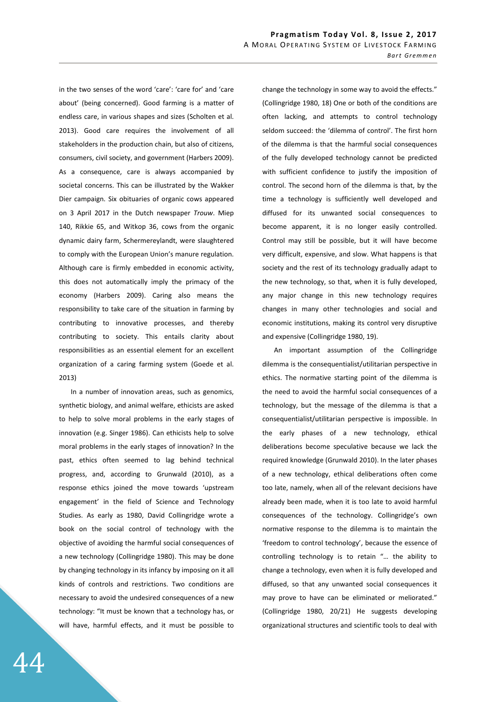in the two senses of the word 'care': 'care for' and 'care about' (being concerned). Good farming is a matter of endless care, in various shapes and sizes (Scholten et al. 2013). Good care requires the involvement of all stakeholders in the production chain, but also of citizens, consumers, civil society, and government (Harbers 2009). As a consequence, care is always accompanied by societal concerns. This can be illustrated by the Wakker Dier campaign. Six obituaries of organic cows appeared on 3 April 2017 in the Dutch newspaper *Trouw*. Miep 140, Rikkie 65, and Witkop 36, cows from the organic dynamic dairy farm, Schermereylandt, were slaughtered to comply with the European Union's manure regulation. Although care is firmly embedded in economic activity, this does not automatically imply the primacy of the economy (Harbers 2009). Caring also means the responsibility to take care of the situation in farming by contributing to innovative processes, and thereby contributing to society. This entails clarity about responsibilities as an essential element for an excellent organization of a caring farming system (Goede et al. 2013)

In a number of innovation areas, such as genomics, synthetic biology, and animal welfare, ethicists are asked to help to solve moral problems in the early stages of innovation (e.g. Singer 1986). Can ethicists help to solve moral problems in the early stages of innovation? In the past, ethics often seemed to lag behind technical progress, and, according to Grunwald (2010), as a response ethics joined the move towards 'upstream engagement' in the field of Science and Technology Studies. As early as 1980, David Collingridge wrote a book on the social control of technology with the objective of avoiding the harmful social consequences of a new technology (Collingridge 1980). This may be done by changing technology in its infancy by imposing on it all kinds of controls and restrictions. Two conditions are necessary to avoid the undesired consequences of a new technology: "It must be known that a technology has, or will have, harmful effects, and it must be possible to

change the technology in some way to avoid the effects." (Collingridge 1980, 18) One or both of the conditions are often lacking, and attempts to control technology seldom succeed: the 'dilemma of control'. The first horn of the dilemma is that the harmful social consequences of the fully developed technology cannot be predicted with sufficient confidence to justify the imposition of control. The second horn of the dilemma is that, by the time a technology is sufficiently well developed and diffused for its unwanted social consequences to become apparent, it is no longer easily controlled. Control may still be possible, but it will have become very difficult, expensive, and slow. What happens is that society and the rest of its technology gradually adapt to the new technology, so that, when it is fully developed, any major change in this new technology requires changes in many other technologies and social and economic institutions, making its control very disruptive and expensive (Collingridge 1980, 19).

An important assumption of the Collingridge dilemma is the consequentialist/utilitarian perspective in ethics. The normative starting point of the dilemma is the need to avoid the harmful social consequences of a technology, but the message of the dilemma is that a consequentialist/utilitarian perspective is impossible. In the early phases of a new technology, ethical deliberations become speculative because we lack the required knowledge (Grunwald 2010). In the later phases of a new technology, ethical deliberations often come too late, namely, when all of the relevant decisions have already been made, when it is too late to avoid harmful consequences of the technology. Collingridge's own normative response to the dilemma is to maintain the 'freedom to control technology', because the essence of controlling technology is to retain "… the ability to change a technology, even when it is fully developed and diffused, so that any unwanted social consequences it may prove to have can be eliminated or meliorated." (Collingridge 1980, 20/21) He suggests developing organizational structures and scientific tools to deal with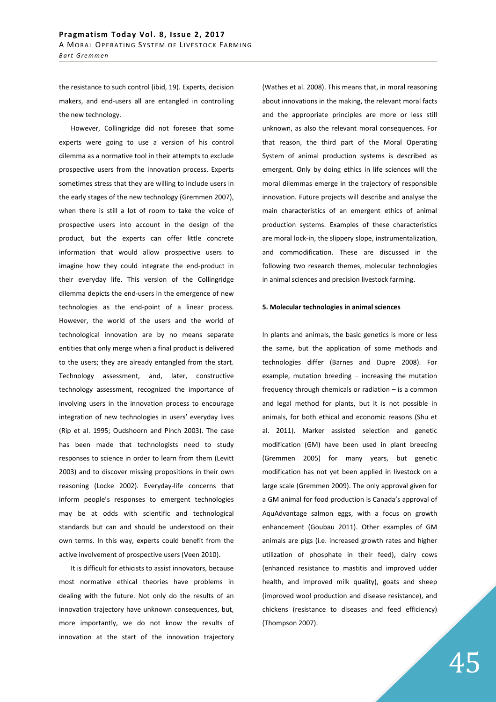the resistance to such control (ibid, 19). Experts, decision makers, and end-users all are entangled in controlling the new technology.

However, Collingridge did not foresee that some experts were going to use a version of his control dilemma as a normative tool in their attempts to exclude prospective users from the innovation process. Experts sometimes stress that they are willing to include users in the early stages of the new technology (Gremmen 2007), when there is still a lot of room to take the voice of prospective users into account in the design of the product, but the experts can offer little concrete information that would allow prospective users to imagine how they could integrate the end-product in their everyday life. This version of the Collingridge dilemma depicts the end-users in the emergence of new technologies as the end-point of a linear process. However, the world of the users and the world of technological innovation are by no means separate entities that only merge when a final product is delivered to the users; they are already entangled from the start. Technology assessment, and, later, constructive technology assessment, recognized the importance of involving users in the innovation process to encourage integration of new technologies in users' everyday lives (Rip et al. 1995; Oudshoorn and Pinch 2003). The case has been made that technologists need to study responses to science in order to learn from them (Levitt 2003) and to discover missing propositions in their own reasoning (Locke 2002). Everyday-life concerns that inform people's responses to emergent technologies may be at odds with scientific and technological standards but can and should be understood on their own terms. In this way, experts could benefit from the active involvement of prospective users (Veen 2010).

It is difficult for ethicists to assist innovators, because most normative ethical theories have problems in dealing with the future. Not only do the results of an innovation trajectory have unknown consequences, but, more importantly, we do not know the results of innovation at the start of the innovation trajectory

(Wathes et al. 2008). This means that, in moral reasoning about innovations in the making, the relevant moral facts and the appropriate principles are more or less still unknown, as also the relevant moral consequences. For that reason, the third part of the Moral Operating System of animal production systems is described as emergent. Only by doing ethics in life sciences will the moral dilemmas emerge in the trajectory of responsible innovation. Future projects will describe and analyse the main characteristics of an emergent ethics of animal production systems. Examples of these characteristics are moral lock-in, the slippery slope, instrumentalization, and commodification. These are discussed in the following two research themes, molecular technologies in animal sciences and precision livestock farming.

#### **5. Molecular technologies in animal sciences**

In plants and animals, the basic genetics is more or less the same, but the application of some methods and technologies differ (Barnes and Dupre 2008). For example, mutation breeding – increasing the mutation frequency through chemicals or radiation – is a common and legal method for plants, but it is not possible in animals, for both ethical and economic reasons (Shu et al. 2011). Marker assisted selection and genetic modification (GM) have been used in plant breeding (Gremmen 2005) for many years, but genetic modification has not yet been applied in livestock on a large scale (Gremmen 2009). The only approval given for a GM animal for food production is Canada's approval of AquAdvantage salmon eggs, with a focus on growth enhancement (Goubau 2011). Other examples of GM animals are pigs (i.e. increased growth rates and higher utilization of phosphate in their feed), dairy cows (enhanced resistance to mastitis and improved udder health, and improved milk quality), goats and sheep (improved wool production and disease resistance), and chickens (resistance to diseases and feed efficiency) (Thompson 2007).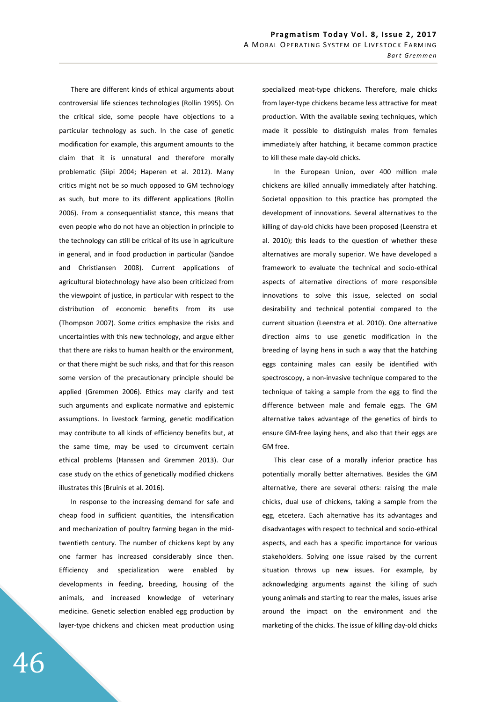There are different kinds of ethical arguments about controversial life sciences technologies (Rollin 1995). On the critical side, some people have objections to a particular technology as such. In the case of genetic modification for example, this argument amounts to the claim that it is unnatural and therefore morally problematic (Siipi 2004; Haperen et al. 2012). Many critics might not be so much opposed to GM technology as such, but more to its different applications (Rollin 2006). From a consequentialist stance, this means that even people who do not have an objection in principle to the technology can still be critical of its use in agriculture in general, and in food production in particular (Sandoe and Christiansen 2008). Current applications of agricultural biotechnology have also been criticized from the viewpoint of justice, in particular with respect to the distribution of economic benefits from its use (Thompson 2007). Some critics emphasize the risks and uncertainties with this new technology, and argue either that there are risks to human health or the environment, or that there might be such risks, and that for this reason some version of the precautionary principle should be applied (Gremmen 2006). Ethics may clarify and test such arguments and explicate normative and epistemic assumptions. In livestock farming, genetic modification may contribute to all kinds of efficiency benefits but, at the same time, may be used to circumvent certain ethical problems (Hanssen and Gremmen 2013). Our case study on the ethics of genetically modified chickens illustrates this (Bruinis et al. 2016).

In response to the increasing demand for safe and cheap food in sufficient quantities, the intensification and mechanization of poultry farming began in the midtwentieth century. The number of chickens kept by any one farmer has increased considerably since then. Efficiency and specialization were enabled by developments in feeding, breeding, housing of the animals, and increased knowledge of veterinary medicine. Genetic selection enabled egg production by layer-type chickens and chicken meat production using

specialized meat-type chickens. Therefore, male chicks from layer-type chickens became less attractive for meat production. With the available sexing techniques, which made it possible to distinguish males from females immediately after hatching, it became common practice to kill these male day-old chicks.

In the European Union, over 400 million male chickens are killed annually immediately after hatching. Societal opposition to this practice has prompted the development of innovations. Several alternatives to the killing of day-old chicks have been proposed (Leenstra et al. 2010); this leads to the question of whether these alternatives are morally superior. We have developed a framework to evaluate the technical and socio-ethical aspects of alternative directions of more responsible innovations to solve this issue, selected on social desirability and technical potential compared to the current situation (Leenstra et al. 2010). One alternative direction aims to use genetic modification in the breeding of laying hens in such a way that the hatching eggs containing males can easily be identified with spectroscopy, a non-invasive technique compared to the technique of taking a sample from the egg to find the difference between male and female eggs. The GM alternative takes advantage of the genetics of birds to ensure GM-free laying hens, and also that their eggs are GM free.

This clear case of a morally inferior practice has potentially morally better alternatives. Besides the GM alternative, there are several others: raising the male chicks, dual use of chickens, taking a sample from the egg, etcetera. Each alternative has its advantages and disadvantages with respect to technical and socio-ethical aspects, and each has a specific importance for various stakeholders. Solving one issue raised by the current situation throws up new issues. For example, by acknowledging arguments against the killing of such young animals and starting to rear the males, issues arise around the impact on the environment and the marketing of the chicks. The issue of killing day-old chicks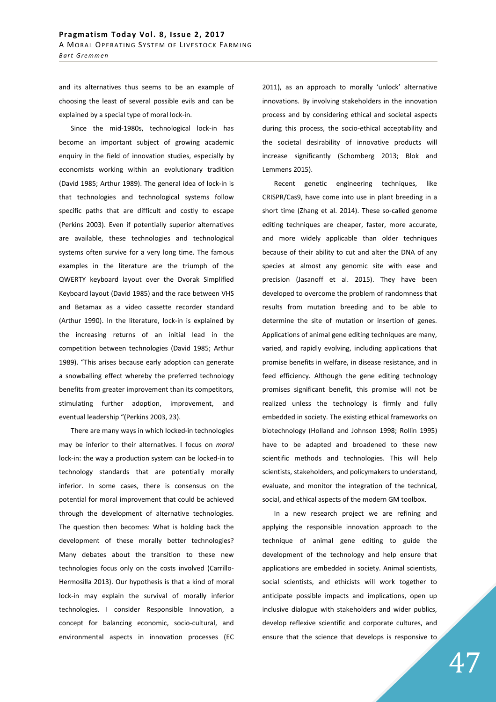and its alternatives thus seems to be an example of choosing the least of several possible evils and can be explained by a special type of moral lock-in.

Since the mid-1980s, technological lock-in has become an important subject of growing academic enquiry in the field of innovation studies, especially by economists working within an evolutionary tradition (David 1985; Arthur 1989). The general idea of lock-in is that technologies and technological systems follow specific paths that are difficult and costly to escape (Perkins 2003). Even if potentially superior alternatives are available, these technologies and technological systems often survive for a very long time. The famous examples in the literature are the triumph of the QWERTY keyboard layout over the Dvorak Simplified Keyboard layout (David 1985) and the race between VHS and Betamax as a video cassette recorder standard (Arthur 1990). In the literature, lock-in is explained by the increasing returns of an initial lead in the competition between technologies (David 1985; Arthur 1989). "This arises because early adoption can generate a snowballing effect whereby the preferred technology benefits from greater improvement than its competitors, stimulating further adoption, improvement, and eventual leadership "(Perkins 2003, 23).

There are many ways in which locked-in technologies may be inferior to their alternatives. I focus on *moral*  lock-in: the way a production system can be locked-in to technology standards that are potentially morally inferior. In some cases, there is consensus on the potential for moral improvement that could be achieved through the development of alternative technologies. The question then becomes: What is holding back the development of these morally better technologies? Many debates about the transition to these new technologies focus only on the costs involved (Carrillo-Hermosilla 2013). Our hypothesis is that a kind of moral lock-in may explain the survival of morally inferior technologies. I consider Responsible Innovation, a concept for balancing economic, socio-cultural, and environmental aspects in innovation processes (EC

2011), as an approach to morally 'unlock' alternative innovations. By involving stakeholders in the innovation process and by considering ethical and societal aspects during this process, the socio-ethical acceptability and the societal desirability of innovative products will increase significantly (Schomberg 2013; Blok and Lemmens 2015).

Recent genetic engineering techniques, like CRISPR/Cas9, have come into use in plant breeding in a short time (Zhang et al. 2014). These so-called genome editing techniques are cheaper, faster, more accurate, and more widely applicable than older techniques because of their ability to cut and alter the DNA of any species at almost any genomic site with ease and precision (Jasanoff et al. 2015). They have been developed to overcome the problem of randomness that results from mutation breeding and to be able to determine the site of mutation or insertion of genes. Applications of animal gene editing techniques are many, varied, and rapidly evolving, including applications that promise benefits in welfare, in disease resistance, and in feed efficiency. Although the gene editing technology promises significant benefit, this promise will not be realized unless the technology is firmly and fully embedded in society. The existing ethical frameworks on biotechnology (Holland and Johnson 1998; Rollin 1995) have to be adapted and broadened to these new scientific methods and technologies. This will help scientists, stakeholders, and policymakers to understand, evaluate, and monitor the integration of the technical, social, and ethical aspects of the modern GM toolbox.

In a new research project we are refining and applying the responsible innovation approach to the technique of animal gene editing to guide the development of the technology and help ensure that applications are embedded in society. Animal scientists, social scientists, and ethicists will work together to anticipate possible impacts and implications, open up inclusive dialogue with stakeholders and wider publics, develop reflexive scientific and corporate cultures, and ensure that the science that develops is responsive to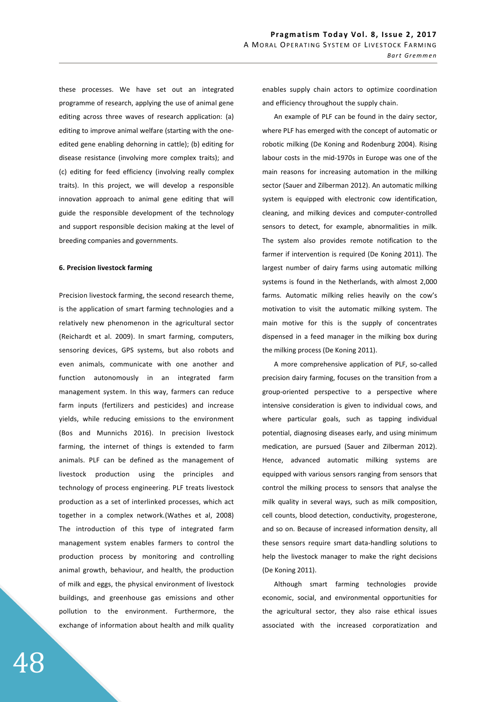these processes. We have set out an integrated programme of research, applying the use of animal gene editing across three waves of research application: (a) editing to improve animal welfare (starting with the oneedited gene enabling dehorning in cattle); (b) editing for disease resistance (involving more complex traits); and (c) editing for feed efficiency (involving really complex traits). In this project, we will develop a responsible innovation approach to animal gene editing that will guide the responsible development of the technology and support responsible decision making at the level of breeding companies and governments.

#### **6. Precision livestock farming**

Precision livestock farming, the second research theme, is the application of smart farming technologies and a relatively new phenomenon in the agricultural sector (Reichardt et al. 2009). In smart farming, computers, sensoring devices, GPS systems, but also robots and even animals, communicate with one another and function autonomously in an integrated farm management system. In this way, farmers can reduce farm inputs (fertilizers and pesticides) and increase yields, while reducing emissions to the environment (Bos and Munnichs 2016). In precision livestock farming, the internet of things is extended to farm animals. PLF can be defined as the management of livestock production using the principles and technology of process engineering. PLF treats livestock production as a set of interlinked processes, which act together in a complex network.(Wathes et al, 2008) The introduction of this type of integrated farm management system enables farmers to control the production process by monitoring and controlling animal growth, behaviour, and health, the production of milk and eggs, the physical environment of livestock buildings, and greenhouse gas emissions and other pollution to the environment. Furthermore, the exchange of information about health and milk quality enables supply chain actors to optimize coordination and efficiency throughout the supply chain.

An example of PLF can be found in the dairy sector, where PLF has emerged with the concept of automatic or robotic milking (De Koning and Rodenburg 2004). Rising labour costs in the mid-1970s in Europe was one of the main reasons for increasing automation in the milking sector (Sauer and Zilberman 2012). An automatic milking system is equipped with electronic cow identification, cleaning, and milking devices and computer-controlled sensors to detect, for example, abnormalities in milk. The system also provides remote notification to the farmer if intervention is required (De Koning 2011). The largest number of dairy farms using automatic milking systems is found in the Netherlands, with almost 2,000 farms. Automatic milking relies heavily on the cow's motivation to visit the automatic milking system. The main motive for this is the supply of concentrates dispensed in a feed manager in the milking box during the milking process (De Koning 2011).

A more comprehensive application of PLF, so-called precision dairy farming, focuses on the transition from a group-oriented perspective to a perspective where intensive consideration is given to individual cows, and where particular goals, such as tapping individual potential, diagnosing diseases early, and using minimum medication, are pursued (Sauer and Zilberman 2012). Hence, advanced automatic milking systems are equipped with various sensors ranging from sensors that control the milking process to sensors that analyse the milk quality in several ways, such as milk composition, cell counts, blood detection, conductivity, progesterone, and so on. Because of increased information density, all these sensors require smart data-handling solutions to help the livestock manager to make the right decisions (De Koning 2011).

Although smart farming technologies provide economic, social, and environmental opportunities for the agricultural sector, they also raise ethical issues associated with the increased corporatization and

48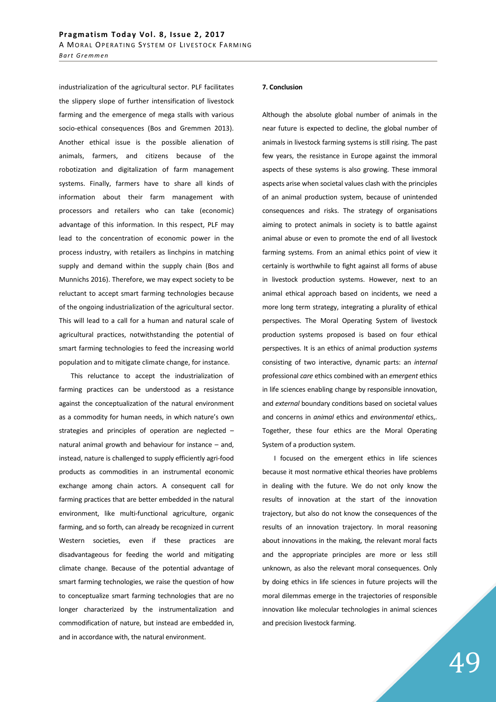industrialization of the agricultural sector. PLF facilitates the slippery slope of further intensification of livestock farming and the emergence of mega stalls with various socio-ethical consequences (Bos and Gremmen 2013). Another ethical issue is the possible alienation of animals, farmers, and citizens because of the robotization and digitalization of farm management systems. Finally, farmers have to share all kinds of information about their farm management with processors and retailers who can take (economic) advantage of this information. In this respect, PLF may lead to the concentration of economic power in the process industry, with retailers as linchpins in matching supply and demand within the supply chain (Bos and Munnichs 2016). Therefore, we may expect society to be reluctant to accept smart farming technologies because of the ongoing industrialization of the agricultural sector. This will lead to a call for a human and natural scale of agricultural practices, notwithstanding the potential of smart farming technologies to feed the increasing world population and to mitigate climate change, for instance.

This reluctance to accept the industrialization of farming practices can be understood as a resistance against the conceptualization of the natural environment as a commodity for human needs, in which nature's own strategies and principles of operation are neglected – natural animal growth and behaviour for instance – and, instead, nature is challenged to supply efficiently agri-food products as commodities in an instrumental economic exchange among chain actors. A consequent call for farming practices that are better embedded in the natural environment, like multi-functional agriculture, organic farming, and so forth, can already be recognized in current Western societies, even if these practices are disadvantageous for feeding the world and mitigating climate change. Because of the potential advantage of smart farming technologies, we raise the question of how to conceptualize smart farming technologies that are no longer characterized by the instrumentalization and commodification of nature, but instead are embedded in, and in accordance with, the natural environment.

### **7. Conclusion**

Although the absolute global number of animals in the near future is expected to decline, the global number of animals in livestock farming systems is still rising. The past few years, the resistance in Europe against the immoral aspects of these systems is also growing. These immoral aspects arise when societal values clash with the principles of an animal production system, because of unintended consequences and risks. The strategy of organisations aiming to protect animals in society is to battle against animal abuse or even to promote the end of all livestock farming systems. From an animal ethics point of view it certainly is worthwhile to fight against all forms of abuse in livestock production systems. However, next to an animal ethical approach based on incidents, we need a more long term strategy, integrating a plurality of ethical perspectives. The Moral Operating System of livestock production systems proposed is based on four ethical perspectives. It is an ethics of animal production *systems* consisting of two interactive, dynamic parts: an *internal* professional *care* ethics combined with an *emergent* ethics in life sciences enabling change by responsible innovation, and *external* boundary conditions based on societal values and concerns in *animal* ethics and *environmental* ethics,. Together, these four ethics are the Moral Operating System of a production system.

I focused on the emergent ethics in life sciences because it most normative ethical theories have problems in dealing with the future. We do not only know the results of innovation at the start of the innovation trajectory, but also do not know the consequences of the results of an innovation trajectory. In moral reasoning about innovations in the making, the relevant moral facts and the appropriate principles are more or less still unknown, as also the relevant moral consequences. Only by doing ethics in life sciences in future projects will the moral dilemmas emerge in the trajectories of responsible innovation like molecular technologies in animal sciences and precision livestock farming.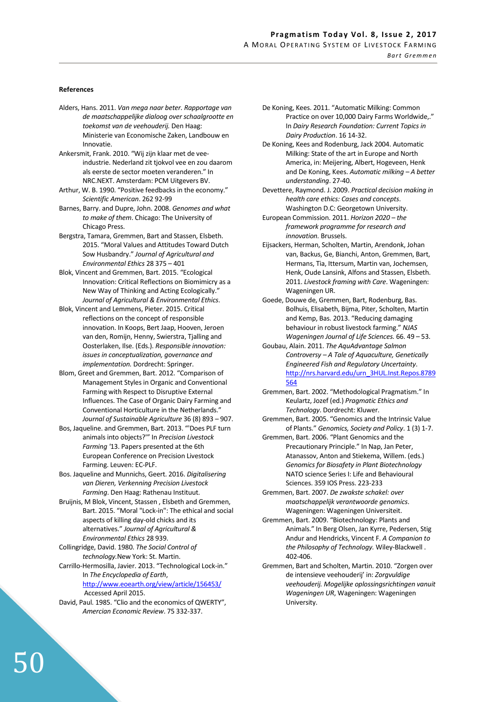## **References**

- Alders, Hans. 2011. *Van mega naar beter. Rapportage van de maatschappelijke dialoog over schaalgrootte en toekomst van de veehouderij.* Den Haag: Ministerie van Economische Zaken, Landbouw en Innovatie.
- Ankersmit, Frank. 2010. "Wij zijn klaar met de veeindustrie. Nederland zit tjokvol vee en zou daarom als eerste de sector moeten veranderen." In NRC.NEXT. Amsterdam: PCM Uitgevers BV.
- Arthur, W. B. 1990. "Positive feedbacks in the economy." *Scientific American*. 262 92-99
- Barnes, Barry. and Dupre, John. 2008. *Genomes and what to make of them*. Chicago: The University of Chicago Press.
- Bergstra, Tamara, Gremmen, Bart and Stassen, Elsbeth. 2015. "Moral Values and Attitudes Toward Dutch Sow Husbandry." *Journal of Agricultural and Environmental Ethics* 28 375 – 401
- Blok, Vincent and Gremmen, Bart. 2015. "Ecological Innovation: Critical Reflections on Biomimicry as a New Way of Thinking and Acting Ecologically." *Journal of Agricultural & Environmental Ethics*.
- Blok, Vincent and Lemmens, Pieter. 2015. Critical reflections on the concept of responsible innovation. In Koops, Bert Jaap, Hooven, Jeroen van den, Romijn, Henny, Swierstra, Tjalling and Oosterlaken, Ilse. (Eds.). *Responsible innovation: issues in conceptualization, governance and implementation.* Dordrecht: Springer.
- Blom, Greet and Gremmen, Bart. 2012. "Comparison of Management Styles in Organic and Conventional Farming with Respect to Disruptive External Influences. The Case of Organic Dairy Farming and Conventional Horticulture in the Netherlands." *Journal of Sustainable Agriculture* 36 (8) 893 – 907.
- Bos, Jaqueline. and Gremmen, Bart. 2013. "'Does PLF turn animals into objects?'" In *Precision Livestock Farming '*13. Papers presented at the 6th European Conference on Precision Livestock Farming. Leuven: EC-PLF.
- Bos. Jaqueline and Munnichs, Geert. 2016. *Digitalisering van Dieren, Verkenning Precision Livestock Farming*. Den Haag: Rathenau Instituut.
- Bruijnis, M Blok, Vincent, Stassen , Elsbeth and Gremmen, Bart. 2015. "Moral "Lock-in": The ethical and social aspects of killing day-old chicks and its alternatives." *Journal of Agricultural & Environmental Ethics* 28 939.
- Collingridge, David. 1980. *The Social Control of technology.*New York: St. Martin.
- Carrillo-Hermosilla, Javier. 2013. "Technological Lock-in." In *The Encyclopedia of Earth*, http://www.eoearth.org/view/article/156453/

Accessed April 2015.

David, Paul. 1985. "Clio and the economics of QWERTY", *Amercian Economic Review*. 75 332-337.

- De Koning, Kees. 2011. "Automatic Milking: Common Practice on over 10,000 Dairy Farms Worldwide,." In *Dairy Research Foundation: Current Topics in Dairy Production*. 16 14-32.
- De Koning, Kees and Rodenburg, Jack 2004. Automatic Milking: State of the art in Europe and North America, in: Meijering, Albert, Hogeveen, Henk and De Koning, Kees. *Automatic milking – A better understanding*. 27-40.
- Devettere, Raymond. J. 2009. *Practical decision making in health care ethics: Cases and concepts*. Washington D.C: Georgetown University.
- European Commission. 2011. *Horizon 2020 the framework programme for research and innovation.* Brussels.
- Eijsackers, Herman, Scholten, Martin, Arendonk, Johan van, Backus, Ge, Bianchi, Anton, Gremmen, Bart, Hermans, Tia, Ittersum, Martin van, Jochemsen, Henk, Oude Lansink, Alfons and Stassen, Elsbeth. 2011. *Livestock framing with Care*. Wageningen: Wageningen UR.
- Goede, Douwe de, Gremmen, Bart, Rodenburg, Bas. Bolhuis, Elisabeth, Bijma, Piter, Scholten, Martin and Kemp, Bas. 2013. "Reducing damaging behaviour in robust livestock farming." *NJAS Wageningen Journal of Life Sciences.* 66. 49 – 53.
- Goubau, Alain. 2011. *The AquAdvantage Salmon Controversy – A Tale of Aquaculture, Genetically Engineered Fish and Regulatory Uncertainty*. http://nrs.harvard.edu/urn\_3HUL.Inst.Repos.8789 564
- Gremmen, Bart. 2002. "Methodological Pragmatism." In Keulartz, Jozef (ed.) *Pragmatic Ethics and Technology*. Dordrecht: Kluwer.
- Gremmen, Bart. 2005. "Genomics and the Intrinsic Value of Plants." *Genomics, Society and Policy*. 1 (3) 1-7.
- Gremmen, Bart. 2006. "Plant Genomics and the Precautionary Principle." In Nap, Jan Peter, Atanassov, Anton and Stiekema, Willem. (eds.) *Genomics for Biosafety in Plant Biotechnology* NATO science Series I: Life and Behavioural Sciences. 359 IOS Press. 223-233
- Gremmen, Bart. 2007. *De zwakste schakel: over maatschappelijk verantwoorde genomics*. Wageningen: Wageningen Universiteit.
- Gremmen, Bart. 2009. "Biotechnology: Plants and Animals." In Berg Olsen, Jan Kyrre, Pedersen, Stig Andur and Hendricks, Vincent F. *A Companion to the Philosophy of Technology.* Wiley-Blackwell . 402-406.
- Gremmen, Bart and Scholten, Martin. 2010. "Zorgen over de intensieve veehouderij' in: *Zorgvuldige veehouderij. Mogelijke oplossingsrichtingen vanuit Wageningen UR*, Wageningen: Wageningen University.